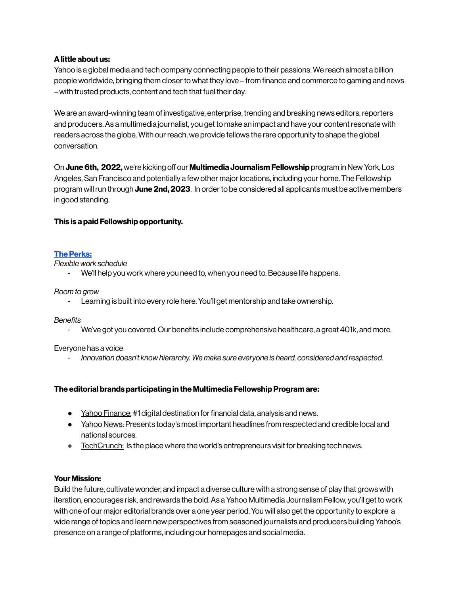## **Alittle about us:**

Yahoo is a global media and tech company connecting people to their passions. We reach almost a billion people worldwide, bringing them closerto what they love – from finance and commerce to gaming and news – with trusted products, content and tech that fuel their day.

We are an award-winning team of investigative, enterprise, trending and breaking news editors,reporters and producers.As a multimedia journalist, you get to make an impact and have your contentresonate with readers across the globe. With our reach, we provide fellows the rare opportunity to shape the global conversation.

**On June 6th, 2022,** we're kicking off our **Multimedia Journalism Fellowship** program in New York, Los Angeles, San Francisco and potentially a few other major locations, including your home. The Fellowship program willrun through **June 2nd, 2023**. In orderto be considered all applicants must be active members in good standing.

## **This is a paid Fellowship opportunity.**

## **The Perks:**

*Flexible work schedule*

We'll help you work where you need to, when you need to. Because life happens.

#### *Room to grow*

Learning is built into every role here. You'll get mentorship and take ownership.

*Benefits*

- We've got you covered. Our benefits include comprehensive healthcare, a great 401k, and more.

Everyone has a voice

*- Innovation doesn't know hierarchy. We make sure everyone is heard, considered and respected.*

#### **The editorial brands participating in the Multimedia FellowshipProgram are:**

- Yahoo [Finance:](https://finance.yahoo.com/) #1 digital destination for financial data, analysis and news.
- Yahoo News: Presents today's most important headlines from respected and credible local and national sources.
- [TechCrunch:](https://techcrunch.com/) Is the place where the world's entrepreneurs visit for breaking tech news.

#### **Your Mission:**

Build the future, cultivate wonder, and impact a diverse culture with a strong sense of play that grows with iteration, encourages risk, and rewards the bold.As a Yahoo Multimedia Journalism Fellow, you'll get to work with one of our major editorial brands over a one year period. You will also get the opportunity to explore a wide range of topics and learn new perspectives from seasoned journalists and producers building Yahoo's presence on a range of platforms, including our homepages and social media.